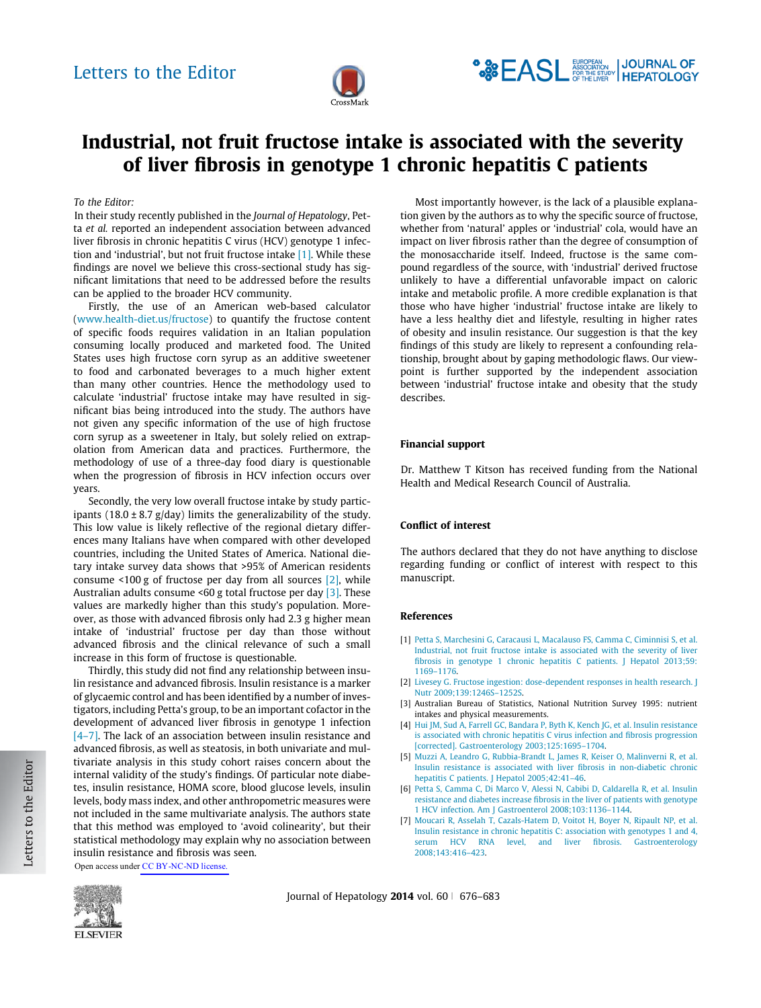

# <span id="page-0-0"></span>Industrial, not fruit fructose intake is associated with the severity of liver fibrosis in genotype 1 chronic hepatitis C patients

## To the Editor:

In their study recently published in the Journal of Hepatology, Petta et al. reported an independent association between advanced liver fibrosis in chronic hepatitis C virus (HCV) genotype 1 infection and 'industrial', but not fruit fructose intake [1]. While these findings are novel we believe this cross-sectional study has significant limitations that need to be addressed before the results can be applied to the broader HCV community.

Firstly, the use of an American web-based calculator [\(www.health-diet.us/fructose\)](http://www.health-diet.us/fructose) to quantify the fructose content of specific foods requires validation in an Italian population consuming locally produced and marketed food. The United States uses high fructose corn syrup as an additive sweetener to food and carbonated beverages to a much higher extent than many other countries. Hence the methodology used to calculate 'industrial' fructose intake may have resulted in significant bias being introduced into the study. The authors have not given any specific information of the use of high fructose corn syrup as a sweetener in Italy, but solely relied on extrapolation from American data and practices. Furthermore, the methodology of use of a three-day food diary is questionable when the progression of fibrosis in HCV infection occurs over years.

Secondly, the very low overall fructose intake by study participants (18.0  $\pm$  8.7 g/day) limits the generalizability of the study. This low value is likely reflective of the regional dietary differences many Italians have when compared with other developed countries, including the United States of America. National dietary intake survey data shows that >95% of American residents consume <100 g of fructose per day from all sources [2], while Australian adults consume <60 g total fructose per day [3]. These values are markedly higher than this study's population. Moreover, as those with advanced fibrosis only had 2.3 g higher mean intake of 'industrial' fructose per day than those without advanced fibrosis and the clinical relevance of such a small increase in this form of fructose is questionable.

Thirdly, this study did not find any relationship between insulin resistance and advanced fibrosis. Insulin resistance is a marker of glycaemic control and has been identified by a number of investigators, including Petta's group, to be an important cofactor in the development of advanced liver fibrosis in genotype 1 infection [4–7]. The lack of an association between insulin resistance and advanced fibrosis, as well as steatosis, in both univariate and multivariate analysis in this study cohort raises concern about the internal validity of the study's findings. Of particular note diabetes, insulin resistance, HOMA score, blood glucose levels, insulin levels, body mass index, and other anthropometric measures were not included in the same multivariate analysis. The authors state that this method was employed to 'avoid colinearity', but their statistical methodology may explain why no association between insulin resistance and fibrosis was seen.

Open access under [CC BY-NC-ND license.](http://creativecommons.org/licenses/by-nc-nd/4.0/)



Most importantly however, is the lack of a plausible explanation given by the authors as to why the specific source of fructose, whether from 'natural' apples or 'industrial' cola, would have an impact on liver fibrosis rather than the degree of consumption of the monosaccharide itself. Indeed, fructose is the same compound regardless of the source, with 'industrial' derived fructose unlikely to have a differential unfavorable impact on caloric intake and metabolic profile. A more credible explanation is that those who have higher 'industrial' fructose intake are likely to have a less healthy diet and lifestyle, resulting in higher rates of obesity and insulin resistance. Our suggestion is that the key findings of this study are likely to represent a confounding relationship, brought about by gaping methodologic flaws. Our viewpoint is further supported by the independent association between 'industrial' fructose intake and obesity that the study describes.

#### Financial support

Dr. Matthew T Kitson has received funding from the National Health and Medical Research Council of Australia.

### Conflict of interest

The authors declared that they do not have anything to disclose regarding funding or conflict of interest with respect to this manuscript.

#### References

- [1] [Petta S, Marchesini G, Caracausi L, Macalauso FS, Camma C, Ciminnisi S, et al.](http://refhub.elsevier.com/S0168-8278(13)00738-1/h0010) [Industrial, not fruit fructose intake is associated with the severity of liver](http://refhub.elsevier.com/S0168-8278(13)00738-1/h0010) [fibrosis in genotype 1 chronic hepatitis C patients. J Hepatol 2013;59:](http://refhub.elsevier.com/S0168-8278(13)00738-1/h0010) [1169–1176](http://refhub.elsevier.com/S0168-8278(13)00738-1/h0010).
- [2] [Livesey G. Fructose ingestion: dose-dependent responses in health research. J](http://refhub.elsevier.com/S0168-8278(13)00738-1/h0015) [Nutr 2009;139:1246S–1252S.](http://refhub.elsevier.com/S0168-8278(13)00738-1/h0015)
- [3] Australian Bureau of Statistics, National Nutrition Survey 1995: nutrient intakes and physical measurements.
- [4] [Hui JM, Sud A, Farrell GC, Bandara P, Byth K, Kench JG, et al. Insulin resistance](http://refhub.elsevier.com/S0168-8278(13)00738-1/h0020) [is associated with chronic hepatitis C virus infection and fibrosis progression](http://refhub.elsevier.com/S0168-8278(13)00738-1/h0020) [\[corrected\]. Gastroenterology 2003;125:1695–1704.](http://refhub.elsevier.com/S0168-8278(13)00738-1/h0020)
- [5] [Muzzi A, Leandro G, Rubbia-Brandt L, James R, Keiser O, Malinverni R, et al.](http://refhub.elsevier.com/S0168-8278(13)00738-1/h0025) [Insulin resistance is associated with liver fibrosis in non-diabetic chronic](http://refhub.elsevier.com/S0168-8278(13)00738-1/h0025) [hepatitis C patients. J Hepatol 2005;42:41–46.](http://refhub.elsevier.com/S0168-8278(13)00738-1/h0025)
- [6] [Petta S, Camma C, Di Marco V, Alessi N, Cabibi D, Caldarella R, et al. Insulin](http://refhub.elsevier.com/S0168-8278(13)00738-1/h0030) [resistance and diabetes increase fibrosis in the liver of patients with genotype](http://refhub.elsevier.com/S0168-8278(13)00738-1/h0030) [1 HCV infection. Am J Gastroenterol 2008;103:1136–1144.](http://refhub.elsevier.com/S0168-8278(13)00738-1/h0030)
- [7] [Moucari R, Asselah T, Cazals-Hatem D, Voitot H, Boyer N, Ripault NP, et al.](http://refhub.elsevier.com/S0168-8278(13)00738-1/h0035) [Insulin resistance in chronic hepatitis C: association with genotypes 1 and 4,](http://refhub.elsevier.com/S0168-8278(13)00738-1/h0035) [serum HCV RNA level, and liver fibrosis. Gastroenterology](http://refhub.elsevier.com/S0168-8278(13)00738-1/h0035) [2008;143:416–423](http://refhub.elsevier.com/S0168-8278(13)00738-1/h0035).

Journal of Hepatology 2014 vol.  $60 \mid 676-683$ 

Letters to the Editor